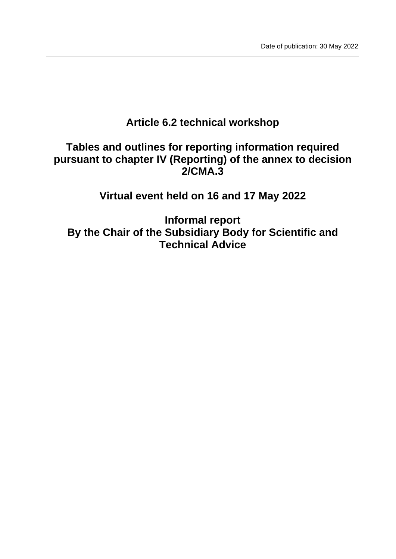# **Article 6.2 technical workshop**

## **Tables and outlines for reporting information required pursuant to chapter IV (Reporting) of the annex to decision 2/CMA.3**

**Virtual event held on 16 and 17 May 2022**

**Informal report By the Chair of the Subsidiary Body for Scientific and Technical Advice**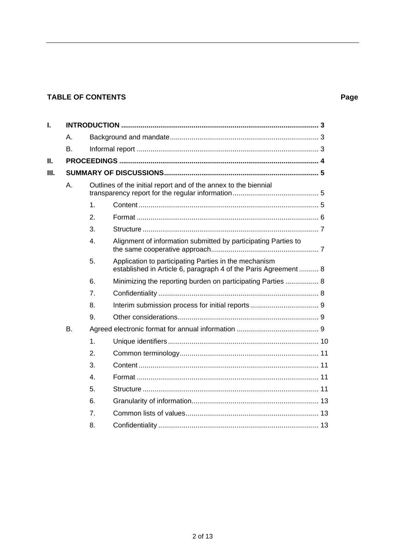### **TABLE OF CONTENTS**

### Page

| Ι. |    |                                                                 |                                                                                                                          |  |
|----|----|-----------------------------------------------------------------|--------------------------------------------------------------------------------------------------------------------------|--|
|    | Α. |                                                                 |                                                                                                                          |  |
|    | В. |                                                                 |                                                                                                                          |  |
| Ш. |    |                                                                 |                                                                                                                          |  |
| Ш. |    |                                                                 |                                                                                                                          |  |
|    | Α. | Outlines of the initial report and of the annex to the biennial |                                                                                                                          |  |
|    |    | 1.                                                              |                                                                                                                          |  |
|    |    | 2.                                                              |                                                                                                                          |  |
|    |    | 3.                                                              |                                                                                                                          |  |
|    |    | 4.                                                              | Alignment of information submitted by participating Parties to                                                           |  |
|    |    | 5.                                                              | Application to participating Parties in the mechanism<br>established in Article 6, paragraph 4 of the Paris Agreement  8 |  |
|    |    | 6.                                                              | Minimizing the reporting burden on participating Parties  8                                                              |  |
|    |    | 7.                                                              |                                                                                                                          |  |
|    |    | 8.                                                              |                                                                                                                          |  |
|    |    | 9.                                                              |                                                                                                                          |  |
|    | B. |                                                                 |                                                                                                                          |  |
|    |    | 1.                                                              |                                                                                                                          |  |
|    |    | 2.                                                              |                                                                                                                          |  |
|    |    | 3.                                                              |                                                                                                                          |  |
|    |    | $\overline{4}$ .                                                |                                                                                                                          |  |
|    |    | 5.                                                              |                                                                                                                          |  |
|    |    | 6.                                                              |                                                                                                                          |  |
|    |    | 7.                                                              |                                                                                                                          |  |
|    |    | 8.                                                              |                                                                                                                          |  |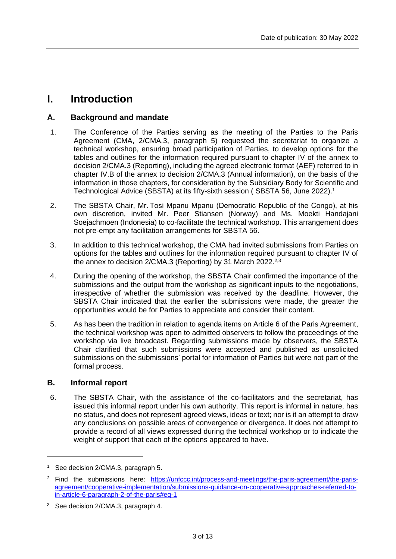## <span id="page-2-0"></span>**I. Introduction**

### <span id="page-2-1"></span>**A. Background and mandate**

- 1. The Conference of the Parties serving as the meeting of the Parties to the Paris Agreement (CMA, 2/CMA.3, paragraph 5) requested the secretariat to organize a technical workshop, ensuring broad participation of Parties, to develop options for the tables and outlines for the information required pursuant to chapter IV of the annex to decision 2/CMA.3 (Reporting), including the agreed electronic format (AEF) referred to in chapter IV.B of the annex to decision 2/CMA.3 (Annual information), on the basis of the information in those chapters, for consideration by the Subsidiary Body for Scientific and Technological Advice (SBSTA) at its fifty-sixth session ( SBSTA 56, June 2022).<sup>1</sup>
- 2. The SBSTA Chair, Mr. Tosi Mpanu Mpanu (Democratic Republic of the Congo), at his own discretion, invited Mr. Peer Stiansen (Norway) and Ms. Moekti Handajani Soejachmoen (Indonesia) to co-facilitate the technical workshop. This arrangement does not pre-empt any facilitation arrangements for SBSTA 56.
- 3. In addition to this technical workshop, the CMA had invited submissions from Parties on options for the tables and outlines for the information required pursuant to chapter IV of the annex to decision 2/CMA.3 (Reporting) by 31 March 2022.<sup>2,3</sup>
- 4. During the opening of the workshop, the SBSTA Chair confirmed the importance of the submissions and the output from the workshop as significant inputs to the negotiations, irrespective of whether the submission was received by the deadline. However, the SBSTA Chair indicated that the earlier the submissions were made, the greater the opportunities would be for Parties to appreciate and consider their content.
- 5. As has been the tradition in relation to agenda items on Article 6 of the Paris Agreement, the technical workshop was open to admitted observers to follow the proceedings of the workshop via live broadcast. Regarding submissions made by observers, the SBSTA Chair clarified that such submissions were accepted and published as unsolicited submissions on the submissions' portal for information of Parties but were not part of the formal process.

### <span id="page-2-2"></span>**B. Informal report**

6. The SBSTA Chair, with the assistance of the co-facilitators and the secretariat, has issued this informal report under his own authority. This report is informal in nature, has no status, and does not represent agreed views, ideas or text; nor is it an attempt to draw any conclusions on possible areas of convergence or divergence. It does not attempt to provide a record of all views expressed during the technical workshop or to indicate the weight of support that each of the options appeared to have.

<sup>&</sup>lt;sup>1</sup> See decision 2/CMA.3, paragraph 5.

<sup>&</sup>lt;sup>2</sup> Find the submissions here: [https://unfccc.int/process-and-meetings/the-paris-agreement/the-paris](https://unfccc.int/process-and-meetings/the-paris-agreement/the-paris-agreement/cooperative-implementation/submissions-guidance-on-cooperative-approaches-referred-to-in-article-6-paragraph-2-of-the-paris#eq-1)[agreement/cooperative-implementation/submissions-guidance-on-cooperative-approaches-referred-to](https://unfccc.int/process-and-meetings/the-paris-agreement/the-paris-agreement/cooperative-implementation/submissions-guidance-on-cooperative-approaches-referred-to-in-article-6-paragraph-2-of-the-paris#eq-1)[in-article-6-paragraph-2-of-the-paris#eq-1](https://unfccc.int/process-and-meetings/the-paris-agreement/the-paris-agreement/cooperative-implementation/submissions-guidance-on-cooperative-approaches-referred-to-in-article-6-paragraph-2-of-the-paris#eq-1)

 $3$  See decision 2/CMA.3, paragraph 4.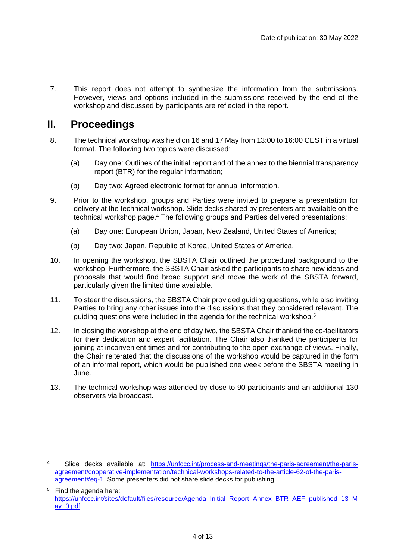7. This report does not attempt to synthesize the information from the submissions. However, views and options included in the submissions received by the end of the workshop and discussed by participants are reflected in the report.

## <span id="page-3-0"></span>**II. Proceedings**

- 8. The technical workshop was held on 16 and 17 May from 13:00 to 16:00 CEST in a virtual format. The following two topics were discussed:
	- (a) Day one: Outlines of the initial report and of the annex to the biennial transparency report (BTR) for the regular information;
	- (b) Day two: Agreed electronic format for annual information.
- 9. Prior to the workshop, groups and Parties were invited to prepare a presentation for delivery at the technical workshop. Slide decks shared by presenters are available on the technical workshop page.<sup>4</sup> The following groups and Parties delivered presentations:
	- (a) Day one: European Union, Japan, New Zealand, United States of America;
	- (b) Day two: Japan, Republic of Korea, United States of America.
- 10. In opening the workshop, the SBSTA Chair outlined the procedural background to the workshop. Furthermore, the SBSTA Chair asked the participants to share new ideas and proposals that would find broad support and move the work of the SBSTA forward, particularly given the limited time available.
- 11. To steer the discussions, the SBSTA Chair provided guiding questions, while also inviting Parties to bring any other issues into the discussions that they considered relevant. The guiding questions were included in the agenda for the technical workshop.<sup>5</sup>
- 12. In closing the workshop at the end of day two, the SBSTA Chair thanked the co-facilitators for their dedication and expert facilitation. The Chair also thanked the participants for joining at inconvenient times and for contributing to the open exchange of views. Finally, the Chair reiterated that the discussions of the workshop would be captured in the form of an informal report, which would be published one week before the SBSTA meeting in June.
- 13. The technical workshop was attended by close to 90 participants and an additional 130 observers via broadcast.

<sup>4</sup> Slide decks available at: [https://unfccc.int/process-and-meetings/the-paris-agreement/the-paris](https://unfccc.int/process-and-meetings/the-paris-agreement/the-paris-agreement/cooperative-implementation/technical-workshops-related-to-the-article-62-of-the-paris-agreement#eq-1)[agreement/cooperative-implementation/technical-workshops-related-to-the-article-62-of-the-paris](https://unfccc.int/process-and-meetings/the-paris-agreement/the-paris-agreement/cooperative-implementation/technical-workshops-related-to-the-article-62-of-the-paris-agreement#eq-1)[agreement#eq-1.](https://unfccc.int/process-and-meetings/the-paris-agreement/the-paris-agreement/cooperative-implementation/technical-workshops-related-to-the-article-62-of-the-paris-agreement#eq-1) Some presenters did not share slide decks for publishing.

<sup>5</sup> Find the agenda here: [https://unfccc.int/sites/default/files/resource/Agenda\\_Initial\\_Report\\_Annex\\_BTR\\_AEF\\_published\\_13\\_M](https://unfccc.int/sites/default/files/resource/Agenda_Initial_Report_Annex_BTR_AEF_published_13_May_0.pdf) [ay\\_0.pdf](https://unfccc.int/sites/default/files/resource/Agenda_Initial_Report_Annex_BTR_AEF_published_13_May_0.pdf)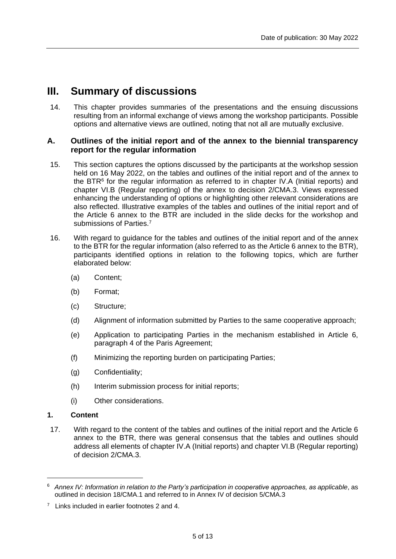## <span id="page-4-0"></span>**III. Summary of discussions**

14. This chapter provides summaries of the presentations and the ensuing discussions resulting from an informal exchange of views among the workshop participants. Possible options and alternative views are outlined, noting that not all are mutually exclusive.

#### <span id="page-4-1"></span>**A. Outlines of the initial report and of the annex to the biennial transparency report for the regular information**

- 15. This section captures the options discussed by the participants at the workshop session held on 16 May 2022, on the tables and outlines of the initial report and of the annex to the BTR<sup>6</sup> for the regular information as referred to in chapter IV.A (Initial reports) and chapter VI.B (Regular reporting) of the annex to decision 2/CMA.3. Views expressed enhancing the understanding of options or highlighting other relevant considerations are also reflected. Illustrative examples of the tables and outlines of the initial report and of the Article 6 annex to the BTR are included in the slide decks for the workshop and submissions of Parties.<sup>7</sup>
- 16. With regard to guidance for the tables and outlines of the initial report and of the annex to the BTR for the regular information (also referred to as the Article 6 annex to the BTR), participants identified options in relation to the following topics, which are further elaborated below:
	- (a) Content;
	- (b) Format;
	- (c) Structure;
	- (d) Alignment of information submitted by Parties to the same cooperative approach;
	- (e) Application to participating Parties in the mechanism established in Article 6, paragraph 4 of the Paris Agreement;
	- (f) Minimizing the reporting burden on participating Parties;
	- (g) Confidentiality;
	- (h) Interim submission process for initial reports;
	- (i) Other considerations.

#### <span id="page-4-2"></span>**1. Content**

17. With regard to the content of the tables and outlines of the initial report and the Article 6 annex to the BTR, there was general consensus that the tables and outlines should address all elements of chapter IV.A (Initial reports) and chapter VI.B (Regular reporting) of decision 2/CMA.3.

<sup>6</sup> *Annex IV: Information in relation to the Party's participation in cooperative approaches, as applicable*, as outlined in decision 18/CMA.1 and referred to in Annex IV of decision 5/CMA.3

 $7$  Links included in earlier footnotes 2 and 4.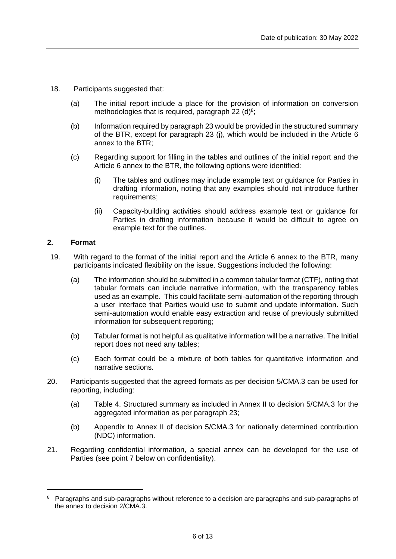- 18. Participants suggested that:
	- (a) The initial report include a place for the provision of information on conversion methodologies that is required, paragraph 22 (d) $8$ ;
	- (b) Information required by paragraph 23 would be provided in the structured summary of the BTR, except for paragraph 23 (j), which would be included in the Article 6 annex to the BTR;
	- (c) Regarding support for filling in the tables and outlines of the initial report and the Article 6 annex to the BTR, the following options were identified:
		- (i) The tables and outlines may include example text or guidance for Parties in drafting information, noting that any examples should not introduce further requirements;
		- (ii) Capacity-building activities should address example text or guidance for Parties in drafting information because it would be difficult to agree on example text for the outlines.

#### <span id="page-5-0"></span>**2. Format**

- 19. With regard to the format of the initial report and the Article 6 annex to the BTR, many participants indicated flexibility on the issue. Suggestions included the following:
	- (a) The information should be submitted in a common tabular format (CTF), noting that tabular formats can include narrative information, with the transparency tables used as an example. This could facilitate semi-automation of the reporting through a user interface that Parties would use to submit and update information. Such semi-automation would enable easy extraction and reuse of previously submitted information for subsequent reporting;
	- (b) Tabular format is not helpful as qualitative information will be a narrative. The Initial report does not need any tables;
	- (c) Each format could be a mixture of both tables for quantitative information and narrative sections.
- 20. Participants suggested that the agreed formats as per decision 5/CMA.3 can be used for reporting, including:
	- (a) Table 4. Structured summary as included in Annex II to decision 5/CMA.3 for the aggregated information as per paragraph 23;
	- (b) Appendix to Annex II of decision 5/CMA.3 for nationally determined contribution (NDC) information.
- 21. Regarding confidential information, a special annex can be developed for the use of Parties (see point 7 below on confidentiality).

<sup>&</sup>lt;sup>8</sup> Paragraphs and sub-paragraphs without reference to a decision are paragraphs and sub-paragraphs of the annex to decision 2/CMA.3.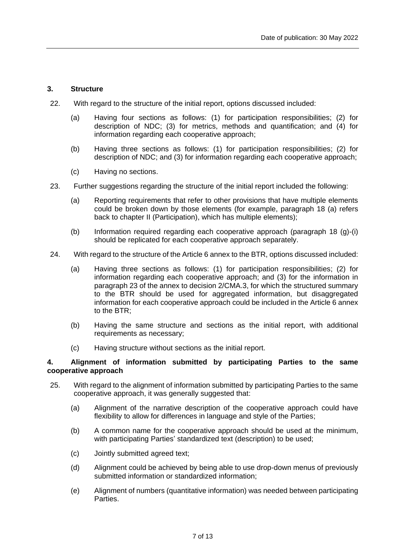#### <span id="page-6-0"></span>**3. Structure**

- 22. With regard to the structure of the initial report, options discussed included:
	- (a) Having four sections as follows: (1) for participation responsibilities; (2) for description of NDC; (3) for metrics, methods and quantification; and (4) for information regarding each cooperative approach;
	- (b) Having three sections as follows: (1) for participation responsibilities; (2) for description of NDC; and (3) for information regarding each cooperative approach;
	- (c) Having no sections.
- 23. Further suggestions regarding the structure of the initial report included the following:
	- (a) Reporting requirements that refer to other provisions that have multiple elements could be broken down by those elements (for example, paragraph 18 (a) refers back to chapter II (Participation), which has multiple elements);
	- (b) Information required regarding each cooperative approach (paragraph 18 (g)-(i) should be replicated for each cooperative approach separately.
- 24. With regard to the structure of the Article 6 annex to the BTR, options discussed included:
	- (a) Having three sections as follows: (1) for participation responsibilities; (2) for information regarding each cooperative approach; and (3) for the information in paragraph 23 of the annex to decision 2/CMA.3, for which the structured summary to the BTR should be used for aggregated information, but disaggregated information for each cooperative approach could be included in the Article 6 annex to the BTR;
	- (b) Having the same structure and sections as the initial report, with additional requirements as necessary;
	- (c) Having structure without sections as the initial report.

#### <span id="page-6-1"></span>**4. Alignment of information submitted by participating Parties to the same cooperative approach**

- 25. With regard to the alignment of information submitted by participating Parties to the same cooperative approach, it was generally suggested that:
	- (a) Alignment of the narrative description of the cooperative approach could have flexibility to allow for differences in language and style of the Parties;
	- (b) A common name for the cooperative approach should be used at the minimum, with participating Parties' standardized text (description) to be used;
	- (c) Jointly submitted agreed text;
	- (d) Alignment could be achieved by being able to use drop-down menus of previously submitted information or standardized information;
	- (e) Alignment of numbers (quantitative information) was needed between participating **Parties**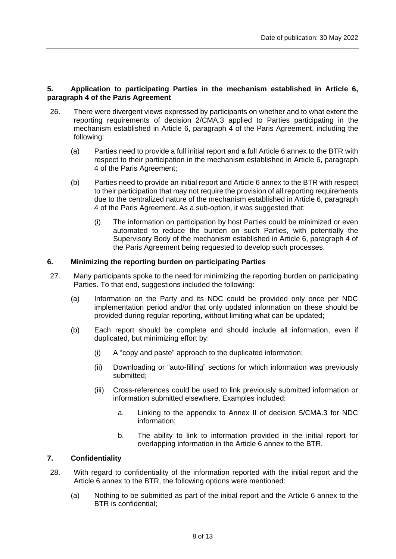#### <span id="page-7-0"></span>**5. Application to participating Parties in the mechanism established in Article 6, paragraph 4 of the Paris Agreement**

- 26. There were divergent views expressed by participants on whether and to what extent the reporting requirements of decision 2/CMA.3 applied to Parties participating in the mechanism established in Article 6, paragraph 4 of the Paris Agreement, including the following:
	- (a) Parties need to provide a full initial report and a full Article 6 annex to the BTR with respect to their participation in the mechanism established in Article 6, paragraph 4 of the Paris Agreement;
	- (b) Parties need to provide an initial report and Article 6 annex to the BTR with respect to their participation that may not require the provision of all reporting requirements due to the centralized nature of the mechanism established in Article 6, paragraph 4 of the Paris Agreement. As a sub-option, it was suggested that:
		- (i) The information on participation by host Parties could be minimized or even automated to reduce the burden on such Parties, with potentially the Supervisory Body of the mechanism established in Article 6, paragraph 4 of the Paris Agreement being requested to develop such processes.

#### <span id="page-7-1"></span>**6. Minimizing the reporting burden on participating Parties**

- 27. Many participants spoke to the need for minimizing the reporting burden on participating Parties. To that end, suggestions included the following:
	- (a) Information on the Party and its NDC could be provided only once per NDC implementation period and/or that only updated information on these should be provided during regular reporting, without limiting what can be updated;
	- (b) Each report should be complete and should include all information, even if duplicated, but minimizing effort by:
		- (i) A "copy and paste" approach to the duplicated information;
		- (ii) Downloading or "auto-filling" sections for which information was previously submitted;
		- (iii) Cross-references could be used to link previously submitted information or information submitted elsewhere. Examples included:
			- a. Linking to the appendix to Annex II of decision 5/CMA.3 for NDC information;
			- b. The ability to link to information provided in the initial report for overlapping information in the Article 6 annex to the BTR.

#### <span id="page-7-2"></span>**7. Confidentiality**

- 28. With regard to confidentiality of the information reported with the initial report and the Article 6 annex to the BTR, the following options were mentioned:
	- (a) Nothing to be submitted as part of the initial report and the Article 6 annex to the BTR is confidential;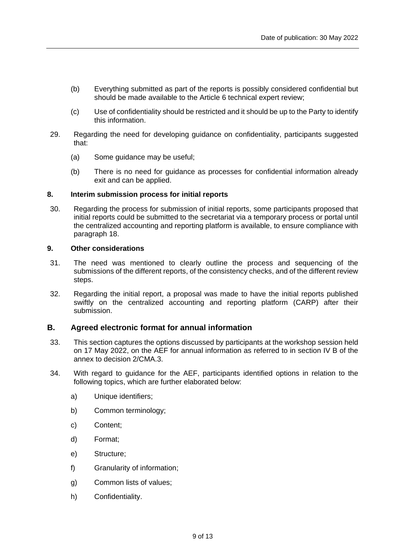- (b) Everything submitted as part of the reports is possibly considered confidential but should be made available to the Article 6 technical expert review;
- (c) Use of confidentiality should be restricted and it should be up to the Party to identify this information.
- 29. Regarding the need for developing guidance on confidentiality, participants suggested that:
	- (a) Some guidance may be useful;
	- (b) There is no need for guidance as processes for confidential information already exit and can be applied.

#### <span id="page-8-0"></span>**8. Interim submission process for initial reports**

30. Regarding the process for submission of initial reports, some participants proposed that initial reports could be submitted to the secretariat via a temporary process or portal until the centralized accounting and reporting platform is available, to ensure compliance with paragraph 18.

#### <span id="page-8-1"></span>**9. Other considerations**

- 31. The need was mentioned to clearly outline the process and sequencing of the submissions of the different reports, of the consistency checks, and of the different review steps.
- 32. Regarding the initial report, a proposal was made to have the initial reports published swiftly on the centralized accounting and reporting platform (CARP) after their submission.

#### <span id="page-8-2"></span>**B. Agreed electronic format for annual information**

- 33. This section captures the options discussed by participants at the workshop session held on 17 May 2022, on the AEF for annual information as referred to in section IV B of the annex to decision 2/CMA.3.
- 34. With regard to guidance for the AEF, participants identified options in relation to the following topics, which are further elaborated below:
	- a) Unique identifiers;
	- b) Common terminology;
	- c) Content;
	- d) Format;
	- e) Structure;
	- f) Granularity of information;
	- g) Common lists of values;
	- h) Confidentiality.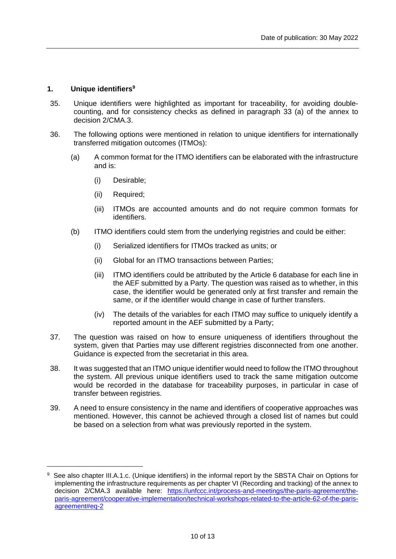#### <span id="page-9-0"></span>**1. Unique identifiers<sup>9</sup>**

- 35. Unique identifiers were highlighted as important for traceability, for avoiding doublecounting, and for consistency checks as defined in paragraph 33 (a) of the annex to decision 2/CMA.3.
- 36. The following options were mentioned in relation to unique identifiers for internationally transferred mitigation outcomes (ITMOs):
	- (a) A common format for the ITMO identifiers can be elaborated with the infrastructure and is:
		- (i) Desirable;
		- (ii) Required;
		- (iii) ITMOs are accounted amounts and do not require common formats for identifiers.
	- (b) ITMO identifiers could stem from the underlying registries and could be either:
		- (i) Serialized identifiers for ITMOs tracked as units; or
		- (ii) Global for an ITMO transactions between Parties;
		- (iii) ITMO identifiers could be attributed by the Article 6 database for each line in the AEF submitted by a Party. The question was raised as to whether, in this case, the identifier would be generated only at first transfer and remain the same, or if the identifier would change in case of further transfers.
		- (iv) The details of the variables for each ITMO may suffice to uniquely identify a reported amount in the AEF submitted by a Party;
- 37. The question was raised on how to ensure uniqueness of identifiers throughout the system, given that Parties may use different registries disconnected from one another. Guidance is expected from the secretariat in this area.
- 38. It was suggested that an ITMO unique identifier would need to follow the ITMO throughout the system. All previous unique identifiers used to track the same mitigation outcome would be recorded in the database for traceability purposes, in particular in case of transfer between registries.
- 39. A need to ensure consistency in the name and identifiers of cooperative approaches was mentioned. However, this cannot be achieved through a closed list of names but could be based on a selection from what was previously reported in the system.

See also chapter III.A.1.c. (Unique identifiers) in the informal report by the SBSTA Chair on Options for implementing the infrastructure requirements as per chapter VI (Recording and tracking) of the annex to decision 2/CMA.3 available here: [https://unfccc.int/process-and-meetings/the-paris-agreement/the](https://unfccc.int/process-and-meetings/the-paris-agreement/the-paris-agreement/cooperative-implementation/technical-workshops-related-to-the-article-62-of-the-paris-agreement#eq-2)[paris-agreement/cooperative-implementation/technical-workshops-related-to-the-article-62-of-the-paris](https://unfccc.int/process-and-meetings/the-paris-agreement/the-paris-agreement/cooperative-implementation/technical-workshops-related-to-the-article-62-of-the-paris-agreement#eq-2)[agreement#eq-2](https://unfccc.int/process-and-meetings/the-paris-agreement/the-paris-agreement/cooperative-implementation/technical-workshops-related-to-the-article-62-of-the-paris-agreement#eq-2)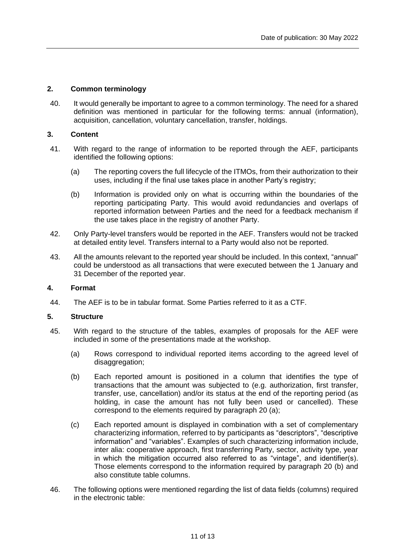#### <span id="page-10-0"></span>**2. Common terminology**

40. It would generally be important to agree to a common terminology. The need for a shared definition was mentioned in particular for the following terms: annual (information), acquisition, cancellation, voluntary cancellation, transfer, holdings.

#### <span id="page-10-1"></span>**3. Content**

- 41. With regard to the range of information to be reported through the AEF, participants identified the following options:
	- (a) The reporting covers the full lifecycle of the ITMOs, from their authorization to their uses, including if the final use takes place in another Party's registry;
	- (b) Information is provided only on what is occurring within the boundaries of the reporting participating Party. This would avoid redundancies and overlaps of reported information between Parties and the need for a feedback mechanism if the use takes place in the registry of another Party.
- 42. Only Party-level transfers would be reported in the AEF. Transfers would not be tracked at detailed entity level. Transfers internal to a Party would also not be reported.
- 43. All the amounts relevant to the reported year should be included. In this context, "annual" could be understood as all transactions that were executed between the 1 January and 31 December of the reported year.

#### <span id="page-10-2"></span>**4. Format**

44. The AEF is to be in tabular format. Some Parties referred to it as a CTF.

#### <span id="page-10-3"></span>**5. Structure**

- 45. With regard to the structure of the tables, examples of proposals for the AEF were included in some of the presentations made at the workshop.
	- (a) Rows correspond to individual reported items according to the agreed level of disaggregation;
	- (b) Each reported amount is positioned in a column that identifies the type of transactions that the amount was subjected to (e.g. authorization, first transfer, transfer, use, cancellation) and/or its status at the end of the reporting period (as holding, in case the amount has not fully been used or cancelled). These correspond to the elements required by paragraph 20 (a);
	- (c) Each reported amount is displayed in combination with a set of complementary characterizing information, referred to by participants as "descriptors", "descriptive information" and "variables". Examples of such characterizing information include, inter alia: cooperative approach, first transferring Party, sector, activity type, year in which the mitigation occurred also referred to as "vintage", and identifier(s). Those elements correspond to the information required by paragraph 20 (b) and also constitute table columns.
- 46. The following options were mentioned regarding the list of data fields (columns) required in the electronic table: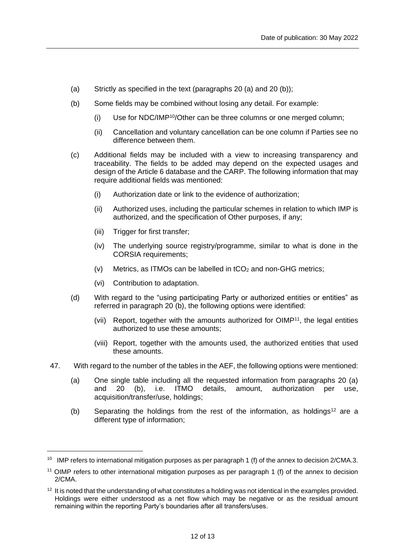- (a) Strictly as specified in the text (paragraphs 20 (a) and 20 (b));
- (b) Some fields may be combined without losing any detail. For example:
	- (i) Use for NDC/IMP<sup>10</sup>/Other can be three columns or one merged column;
	- (ii) Cancellation and voluntary cancellation can be one column if Parties see no difference between them.
- (c) Additional fields may be included with a view to increasing transparency and traceability. The fields to be added may depend on the expected usages and design of the Article 6 database and the CARP. The following information that may require additional fields was mentioned:
	- (i) Authorization date or link to the evidence of authorization;
	- (ii) Authorized uses, including the particular schemes in relation to which IMP is authorized, and the specification of Other purposes, if any;
	- (iii) Trigger for first transfer:
	- (iv) The underlying source registry/programme, similar to what is done in the CORSIA requirements;
	- (v) Metrics, as ITMOs can be labelled in  $tCO<sub>2</sub>$  and non-GHG metrics;
	- (vi) Contribution to adaptation.
- (d) With regard to the "using participating Party or authorized entities or entities" as referred in paragraph 20 (b), the following options were identified:
	- (vii) Report, together with the amounts authorized for OIMP<sup>11</sup>, the legal entities authorized to use these amounts;
	- (viii) Report, together with the amounts used, the authorized entities that used these amounts.
- 47. With regard to the number of the tables in the AEF, the following options were mentioned:
	- (a) One single table including all the requested information from paragraphs 20 (a) and 20 (b), i.e. ITMO details, amount, authorization per use, acquisition/transfer/use, holdings;
	- (b) Separating the holdings from the rest of the information, as holdings<sup>12</sup> are a different type of information;

<sup>&</sup>lt;sup>10</sup> IMP refers to international mitigation purposes as per paragraph 1 (f) of the annex to decision 2/CMA.3.

<sup>11</sup> OIMP refers to other international mitigation purposes as per paragraph 1 (f) of the annex to decision 2/CMA.

<sup>&</sup>lt;sup>12</sup> It is noted that the understanding of what constitutes a holding was not identical in the examples provided. Holdings were either understood as a net flow which may be negative or as the residual amount remaining within the reporting Party's boundaries after all transfers/uses.